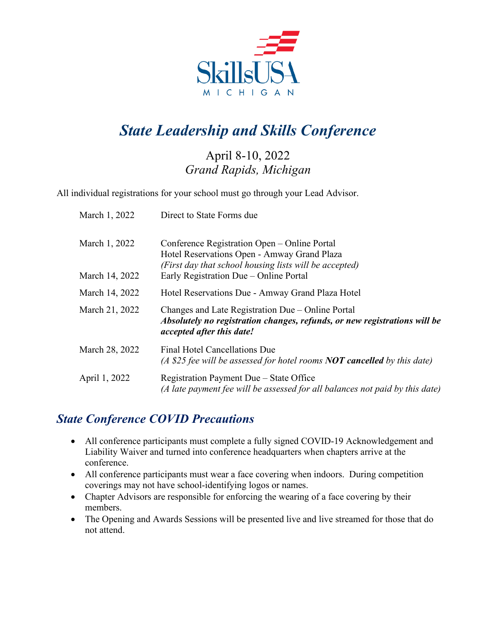

# *State Leadership and Skills Conference*

## April 8-10, 2022 *Grand Rapids, Michigan*

All individual registrations for your school must go through your Lead Advisor.

| March 1, 2022  | Direct to State Forms due                                                                                                                                          |
|----------------|--------------------------------------------------------------------------------------------------------------------------------------------------------------------|
| March 1, 2022  | Conference Registration Open – Online Portal<br>Hotel Reservations Open - Amway Grand Plaza<br>(First day that school housing lists will be accepted)              |
| March 14, 2022 | Early Registration Due – Online Portal                                                                                                                             |
| March 14, 2022 | Hotel Reservations Due - Amway Grand Plaza Hotel                                                                                                                   |
| March 21, 2022 | Changes and Late Registration Due – Online Portal<br>Absolutely no registration changes, refunds, or new registrations will be<br><i>accepted after this date!</i> |
| March 28, 2022 | Final Hotel Cancellations Due<br>(A \$25 fee will be assessed for hotel rooms <b>NOT cancelled</b> by this date)                                                   |
| April 1, 2022  | Registration Payment Due - State Office<br>(A late payment fee will be assessed for all balances not paid by this date)                                            |

## *State Conference COVID Precautions*

- All conference participants must complete a fully signed COVID-19 Acknowledgement and Liability Waiver and turned into conference headquarters when chapters arrive at the conference.
- All conference participants must wear a face covering when indoors. During competition coverings may not have school-identifying logos or names.
- Chapter Advisors are responsible for enforcing the wearing of a face covering by their members.
- The Opening and Awards Sessions will be presented live and live streamed for those that do not attend.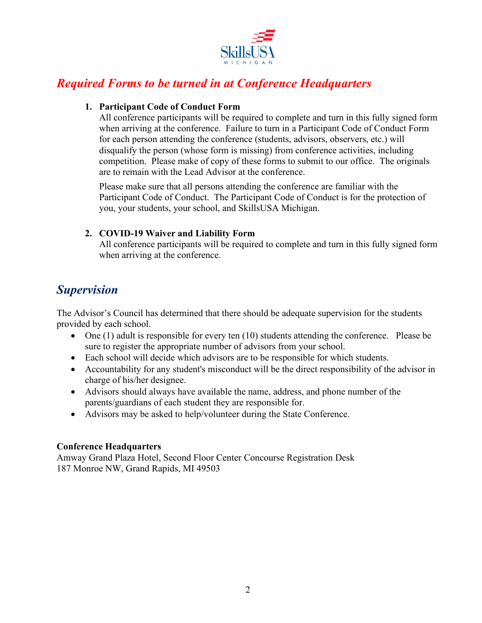

## *Required Forms to be turned in at Conference Headquarters*

#### **1. Participant Code of Conduct Form**

All conference participants will be required to complete and turn in this fully signed form when arriving at the conference. Failure to turn in a Participant Code of Conduct Form for each person attending the conference (students, advisors, observers, etc.) will disqualify the person (whose form is missing) from conference activities, including competition. Please make of copy of these forms to submit to our office. The originals are to remain with the Lead Advisor at the conference.

Please make sure that all persons attending the conference are familiar with the Participant Code of Conduct. The Participant Code of Conduct is for the protection of you, your students, your school, and SkillsUSA Michigan.

## **2. COVID-19 Waiver and Liability Form**

All conference participants will be required to complete and turn in this fully signed form when arriving at the conference.

## *Supervision*

The Advisor's Council has determined that there should be adequate supervision for the students provided by each school.

- One  $(1)$  adult is responsible for every ten  $(10)$  students attending the conference. Please be sure to register the appropriate number of advisors from your school.
- Each school will decide which advisors are to be responsible for which students.
- Accountability for any student's misconduct will be the direct responsibility of the advisor in charge of his/her designee.
- Advisors should always have available the name, address, and phone number of the parents/guardians of each student they are responsible for.
- Advisors may be asked to help/volunteer during the State Conference.

## **Conference Headquarters**

Amway Grand Plaza Hotel, Second Floor Center Concourse Registration Desk 187 Monroe NW, Grand Rapids, MI 49503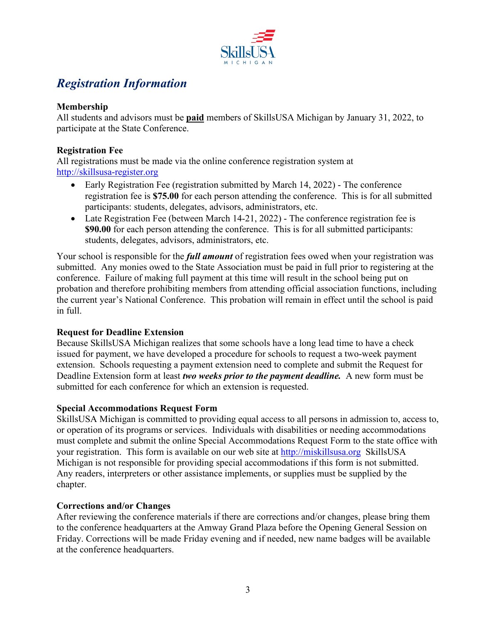

## *Registration Information*

## **Membership**

All students and advisors must be **paid** members of SkillsUSA Michigan by January 31, 2022, to participate at the State Conference.

### **Registration Fee**

All registrations must be made via the online conference registration system at [http://skillsusa-register.org](http://skillsusa-register.org/)

- Early Registration Fee (registration submitted by March 14, 2022) The conference registration fee is **\$75.00** for each person attending the conference. This is for all submitted participants: students, delegates, advisors, administrators, etc.
- Late Registration Fee (between March 14-21, 2022) The conference registration fee is **\$90.00** for each person attending the conference. This is for all submitted participants: students, delegates, advisors, administrators, etc.

Your school is responsible for the *full amount* of registration fees owed when your registration was submitted. Any monies owed to the State Association must be paid in full prior to registering at the conference. Failure of making full payment at this time will result in the school being put on probation and therefore prohibiting members from attending official association functions, including the current year's National Conference. This probation will remain in effect until the school is paid in full.

## **Request for Deadline Extension**

Because SkillsUSA Michigan realizes that some schools have a long lead time to have a check issued for payment, we have developed a procedure for schools to request a two-week payment extension. Schools requesting a payment extension need to complete and submit the Request for Deadline Extension form at least *two weeks prior to the payment deadline.* A new form must be submitted for each conference for which an extension is requested.

#### **Special Accommodations Request Form**

SkillsUSA Michigan is committed to providing equal access to all persons in admission to, access to, or operation of its programs or services. Individuals with disabilities or needing accommodations must complete and submit the online Special Accommodations Request Form to the state office with your registration. This form is available on our web site at [http://miskillsusa.org](http://miskillsusa.org/) SkillsUSA Michigan is not responsible for providing special accommodations if this form is not submitted. Any readers, interpreters or other assistance implements, or supplies must be supplied by the chapter.

## **Corrections and/or Changes**

After reviewing the conference materials if there are corrections and/or changes, please bring them to the conference headquarters at the Amway Grand Plaza before the Opening General Session on Friday. Corrections will be made Friday evening and if needed, new name badges will be available at the conference headquarters.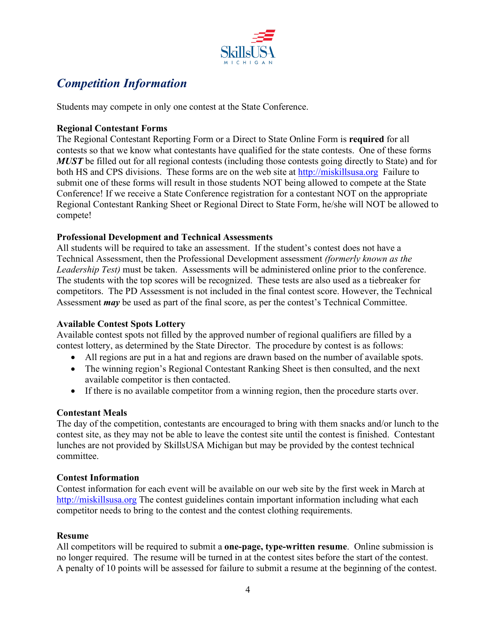

## *Competition Information*

Students may compete in only one contest at the State Conference.

### **Regional Contestant Forms**

The Regional Contestant Reporting Form or a Direct to State Online Form is **required** for all contests so that we know what contestants have qualified for the state contests. One of these forms *MUST* be filled out for all regional contests (including those contests going directly to State) and for both HS and CPS divisions. These forms are on the web site at [http://miskillsusa.org](http://miskillsusa.org/) Failure to submit one of these forms will result in those students NOT being allowed to compete at the State Conference! If we receive a State Conference registration for a contestant NOT on the appropriate Regional Contestant Ranking Sheet or Regional Direct to State Form, he/she will NOT be allowed to compete!

#### **Professional Development and Technical Assessments**

All students will be required to take an assessment. If the student's contest does not have a Technical Assessment, then the Professional Development assessment *(formerly known as the Leadership Test)* must be taken. Assessments will be administered online prior to the conference. The students with the top scores will be recognized. These tests are also used as a tiebreaker for competitors. The PD Assessment is not included in the final contest score. However, the Technical Assessment *may* be used as part of the final score, as per the contest's Technical Committee.

## **Available Contest Spots Lottery**

Available contest spots not filled by the approved number of regional qualifiers are filled by a contest lottery, as determined by the State Director. The procedure by contest is as follows:

- All regions are put in a hat and regions are drawn based on the number of available spots.
- The winning region's Regional Contestant Ranking Sheet is then consulted, and the next available competitor is then contacted.
- If there is no available competitor from a winning region, then the procedure starts over.

## **Contestant Meals**

The day of the competition, contestants are encouraged to bring with them snacks and/or lunch to the contest site, as they may not be able to leave the contest site until the contest is finished. Contestant lunches are not provided by SkillsUSA Michigan but may be provided by the contest technical committee.

## **Contest Information**

Contest information for each event will be available on our web site by the first week in March at [http://miskillsusa.org](http://miskillsusa.org/) The contest guidelines contain important information including what each competitor needs to bring to the contest and the contest clothing requirements.

#### **Resume**

All competitors will be required to submit a **one-page, type-written resume**. Online submission is no longer required. The resume will be turned in at the contest sites before the start of the contest. A penalty of 10 points will be assessed for failure to submit a resume at the beginning of the contest.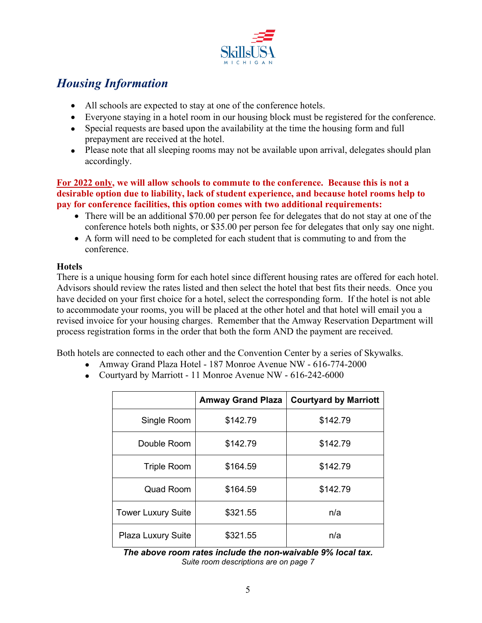

## *Housing Information*

- All schools are expected to stay at one of the conference hotels.
- Everyone staying in a hotel room in our housing block must be registered for the conference.
- Special requests are based upon the availability at the time the housing form and full prepayment are received at the hotel.
- Please note that all sleeping rooms may not be available upon arrival, delegates should plan accordingly.

#### **For 2022 only, we will allow schools to commute to the conference. Because this is not a desirable option due to liability, lack of student experience, and because hotel rooms help to pay for conference facilities, this option comes with two additional requirements:**

- There will be an additional \$70.00 per person fee for delegates that do not stay at one of the conference hotels both nights, or \$35.00 per person fee for delegates that only say one night.
- A form will need to be completed for each student that is commuting to and from the conference.

## **Hotels**

There is a unique housing form for each hotel since different housing rates are offered for each hotel. Advisors should review the rates listed and then select the hotel that best fits their needs. Once you have decided on your first choice for a hotel, select the corresponding form. If the hotel is not able to accommodate your rooms, you will be placed at the other hotel and that hotel will email you a revised invoice for your housing charges. Remember that the Amway Reservation Department will process registration forms in the order that both the form AND the payment are received.

Both hotels are connected to each other and the Convention Center by a series of Skywalks.

- Amway Grand Plaza Hotel 187 Monroe Avenue NW 616-774-2000
- Courtyard by Marriott 11 Monroe Avenue NW 616-242-6000

|                           | <b>Amway Grand Plaza</b> | <b>Courtyard by Marriott</b> |
|---------------------------|--------------------------|------------------------------|
| Single Room               | \$142.79                 | \$142.79                     |
| Double Room               | \$142.79                 | \$142.79                     |
| <b>Triple Room</b>        | \$164.59                 | \$142.79                     |
| <b>Quad Room</b>          | \$164.59                 | \$142.79                     |
| <b>Tower Luxury Suite</b> | \$321.55                 | n/a                          |
| <b>Plaza Luxury Suite</b> | \$321.55                 | n/a                          |

*The above room rates include the non-waivable 9% local tax. Suite room descriptions are on page 7*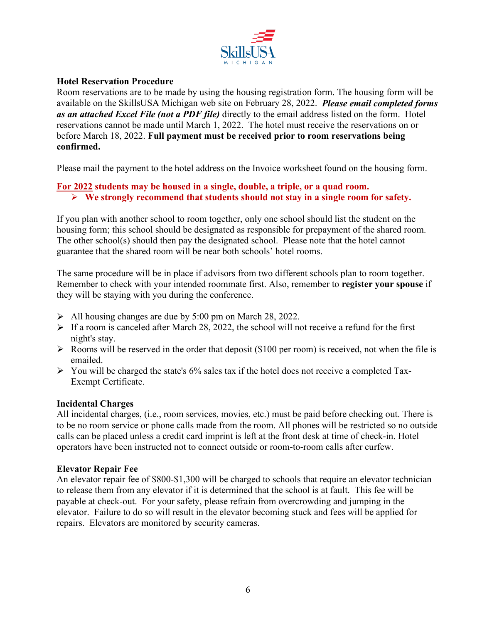

## **Hotel Reservation Procedure**

Room reservations are to be made by using the housing registration form. The housing form will be available on the SkillsUSA Michigan web site on February 28, 2022. *Please email completed forms as an attached Excel File (not a PDF file)* directly to the email address listed on the form. Hotel reservations cannot be made until March 1, 2022. The hotel must receive the reservations on or before March 18, 2022. **Full payment must be received prior to room reservations being confirmed.**

Please mail the payment to the hotel address on the Invoice worksheet found on the housing form.

## **For 2022 students may be housed in a single, double, a triple, or a quad room.**

**We strongly recommend that students should not stay in a single room for safety.**

If you plan with another school to room together, only one school should list the student on the housing form; this school should be designated as responsible for prepayment of the shared room. The other school(s) should then pay the designated school. Please note that the hotel cannot guarantee that the shared room will be near both schools' hotel rooms.

The same procedure will be in place if advisors from two different schools plan to room together. Remember to check with your intended roommate first. Also, remember to **register your spouse** if they will be staying with you during the conference.

- $\triangleright$  All housing changes are due by 5:00 pm on March 28, 2022.
- $\triangleright$  If a room is canceled after March 28, 2022, the school will not receive a refund for the first night's stay.
- $\triangleright$  Rooms will be reserved in the order that deposit (\$100 per room) is received, not when the file is emailed.
- $\triangleright$  You will be charged the state's 6% sales tax if the hotel does not receive a completed Tax-Exempt Certificate.

## **Incidental Charges**

All incidental charges, (i.e., room services, movies, etc.) must be paid before checking out. There is to be no room service or phone calls made from the room. All phones will be restricted so no outside calls can be placed unless a credit card imprint is left at the front desk at time of check-in. Hotel operators have been instructed not to connect outside or room-to-room calls after curfew.

#### **Elevator Repair Fee**

An elevator repair fee of \$800-\$1,300 will be charged to schools that require an elevator technician to release them from any elevator if it is determined that the school is at fault. This fee will be payable at check-out. For your safety, please refrain from overcrowding and jumping in the elevator. Failure to do so will result in the elevator becoming stuck and fees will be applied for repairs. Elevators are monitored by security cameras.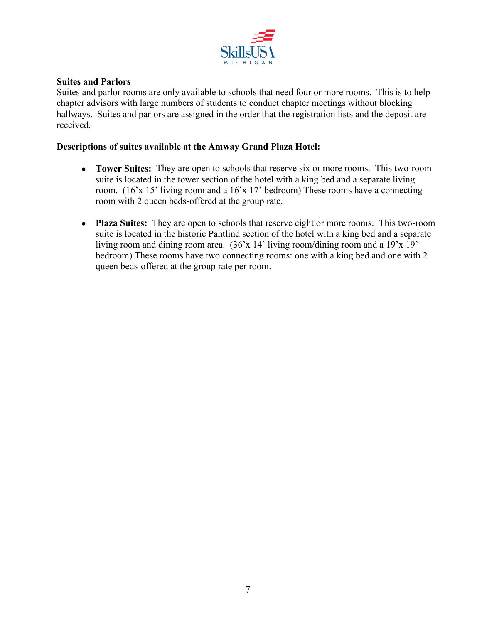

#### **Suites and Parlors**

Suites and parlor rooms are only available to schools that need four or more rooms. This is to help chapter advisors with large numbers of students to conduct chapter meetings without blocking hallways. Suites and parlors are assigned in the order that the registration lists and the deposit are received.

#### **Descriptions of suites available at the Amway Grand Plaza Hotel:**

- **Tower Suites:** They are open to schools that reserve six or more rooms. This two-room suite is located in the tower section of the hotel with a king bed and a separate living room. (16'x 15' living room and a 16'x 17' bedroom) These rooms have a connecting room with 2 queen beds-offered at the group rate.
- **Plaza Suites:** They are open to schools that reserve eight or more rooms. This two-room suite is located in the historic Pantlind section of the hotel with a king bed and a separate living room and dining room area. (36'x 14' living room/dining room and a 19'x 19' bedroom) These rooms have two connecting rooms: one with a king bed and one with 2 queen beds-offered at the group rate per room.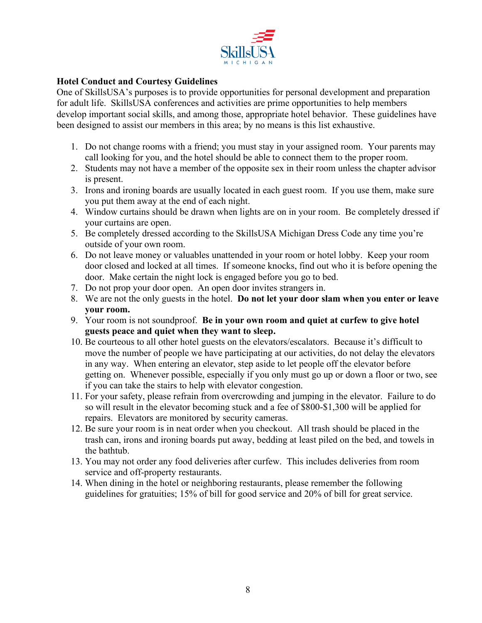

## **Hotel Conduct and Courtesy Guidelines**

One of SkillsUSA's purposes is to provide opportunities for personal development and preparation for adult life. SkillsUSA conferences and activities are prime opportunities to help members develop important social skills, and among those, appropriate hotel behavior. These guidelines have been designed to assist our members in this area; by no means is this list exhaustive.

- 1. Do not change rooms with a friend; you must stay in your assigned room. Your parents may call looking for you, and the hotel should be able to connect them to the proper room.
- 2. Students may not have a member of the opposite sex in their room unless the chapter advisor is present.
- 3. Irons and ironing boards are usually located in each guest room. If you use them, make sure you put them away at the end of each night.
- 4. Window curtains should be drawn when lights are on in your room. Be completely dressed if your curtains are open.
- 5. Be completely dressed according to the SkillsUSA Michigan Dress Code any time you're outside of your own room.
- 6. Do not leave money or valuables unattended in your room or hotel lobby. Keep your room door closed and locked at all times. If someone knocks, find out who it is before opening the door. Make certain the night lock is engaged before you go to bed.
- 7. Do not prop your door open. An open door invites strangers in.
- 8. We are not the only guests in the hotel. **Do not let your door slam when you enter or leave your room.**
- 9. Your room is not soundproof. **Be in your own room and quiet at curfew to give hotel guests peace and quiet when they want to sleep.**
- 10. Be courteous to all other hotel guests on the elevators/escalators. Because it's difficult to move the number of people we have participating at our activities, do not delay the elevators in any way. When entering an elevator, step aside to let people off the elevator before getting on. Whenever possible, especially if you only must go up or down a floor or two, see if you can take the stairs to help with elevator congestion.
- 11. For your safety, please refrain from overcrowding and jumping in the elevator. Failure to do so will result in the elevator becoming stuck and a fee of \$800-\$1,300 will be applied for repairs. Elevators are monitored by security cameras.
- 12. Be sure your room is in neat order when you checkout. All trash should be placed in the trash can, irons and ironing boards put away, bedding at least piled on the bed, and towels in the bathtub.
- 13. You may not order any food deliveries after curfew. This includes deliveries from room service and off-property restaurants.
- 14. When dining in the hotel or neighboring restaurants, please remember the following guidelines for gratuities; 15% of bill for good service and 20% of bill for great service.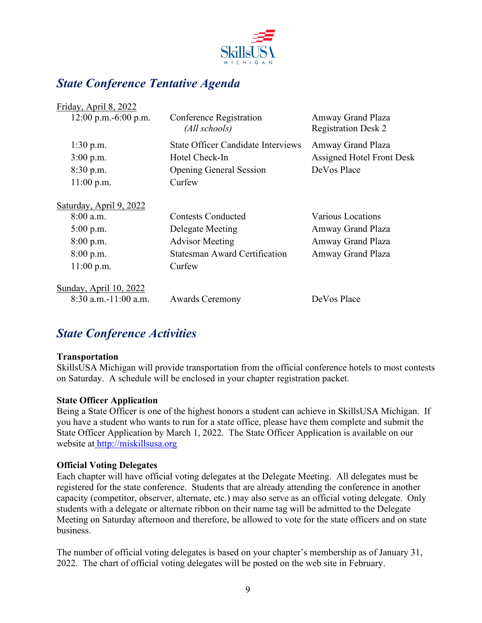

## *State Conference Tentative Agenda*

 $\blacksquare$ . April 8, 2022

| Conference Registration<br>(All schools)  | Amway Grand Plaza<br><b>Registration Desk 2</b> |
|-------------------------------------------|-------------------------------------------------|
| <b>State Officer Candidate Interviews</b> | Amway Grand Plaza                               |
| Hotel Check-In                            | <b>Assigned Hotel Front Desk</b>                |
| <b>Opening General Session</b>            | DeVos Place                                     |
| Curfew                                    |                                                 |
|                                           |                                                 |
| <b>Contests Conducted</b>                 | Various Locations                               |
| Delegate Meeting                          | Amway Grand Plaza                               |
| <b>Advisor Meeting</b>                    | Amway Grand Plaza                               |
| <b>Statesman Award Certification</b>      | Amway Grand Plaza                               |
| Curfew                                    |                                                 |
|                                           |                                                 |
| <b>Awards Ceremony</b>                    | DeVos Place                                     |
|                                           |                                                 |

## *State Conference Activities*

#### **Transportation**

SkillsUSA Michigan will provide transportation from the official conference hotels to most contests on Saturday. A schedule will be enclosed in your chapter registration packet.

## **State Officer Application**

Being a State Officer is one of the highest honors a student can achieve in SkillsUSA Michigan. If you have a student who wants to run for a state office, please have them complete and submit the State Officer Application by March 1, 2022. The State Officer Application is available on our website at [http://miskillsusa.org](http://miskillsusa.org/)

#### **Official Voting Delegates**

Each chapter will have official voting delegates at the Delegate Meeting. All delegates must be registered for the state conference. Students that are already attending the conference in another capacity (competitor, observer, alternate, etc.) may also serve as an official voting delegate. Only students with a delegate or alternate ribbon on their name tag will be admitted to the Delegate Meeting on Saturday afternoon and therefore, be allowed to vote for the state officers and on state business.

The number of official voting delegates is based on your chapter's membership as of January 31, 2022. The chart of official voting delegates will be posted on the web site in February.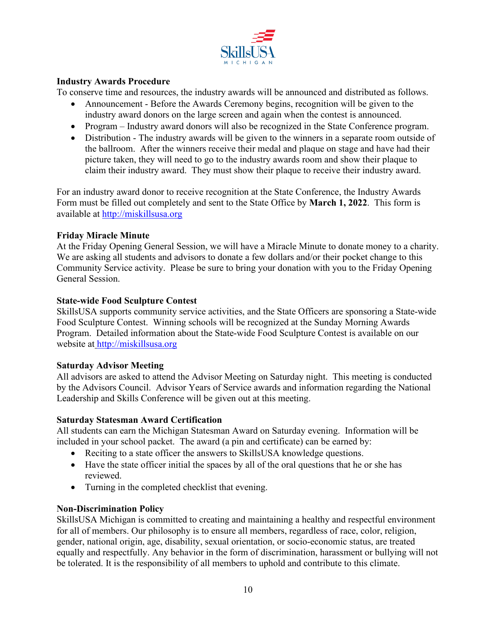

### **Industry Awards Procedure**

To conserve time and resources, the industry awards will be announced and distributed as follows.

- Announcement Before the Awards Ceremony begins, recognition will be given to the industry award donors on the large screen and again when the contest is announced.
- Program Industry award donors will also be recognized in the State Conference program.
- Distribution The industry awards will be given to the winners in a separate room outside of the ballroom. After the winners receive their medal and plaque on stage and have had their picture taken, they will need to go to the industry awards room and show their plaque to claim their industry award. They must show their plaque to receive their industry award.

For an industry award donor to receive recognition at the State Conference, the Industry Awards Form must be filled out completely and sent to the State Office by **March 1, 2022**. This form is available at [http://miskillsusa.org](http://miskillsusa.org/)

#### **Friday Miracle Minute**

At the Friday Opening General Session, we will have a Miracle Minute to donate money to a charity. We are asking all students and advisors to donate a few dollars and/or their pocket change to this Community Service activity. Please be sure to bring your donation with you to the Friday Opening General Session.

#### **State-wide Food Sculpture Contest**

SkillsUSA supports community service activities, and the State Officers are sponsoring a State-wide Food Sculpture Contest. Winning schools will be recognized at the Sunday Morning Awards Program. Detailed information about the State-wide Food Sculpture Contest is available on our website at [http://miskillsusa.org](http://miskillsusa.org/)

#### **Saturday Advisor Meeting**

All advisors are asked to attend the Advisor Meeting on Saturday night. This meeting is conducted by the Advisors Council. Advisor Years of Service awards and information regarding the National Leadership and Skills Conference will be given out at this meeting.

#### **Saturday Statesman Award Certification**

All students can earn the Michigan Statesman Award on Saturday evening. Information will be included in your school packet. The award (a pin and certificate) can be earned by:

- Reciting to a state officer the answers to SkillsUSA knowledge questions.
- Have the state officer initial the spaces by all of the oral questions that he or she has reviewed.
- Turning in the completed checklist that evening.

#### **Non-Discrimination Policy**

SkillsUSA Michigan is committed to creating and maintaining a healthy and respectful environment for all of members. Our philosophy is to ensure all members, regardless of race, color, religion, gender, national origin, age, disability, sexual orientation, or socio-economic status, are treated equally and respectfully. Any behavior in the form of discrimination, harassment or bullying will not be tolerated. It is the responsibility of all members to uphold and contribute to this climate.